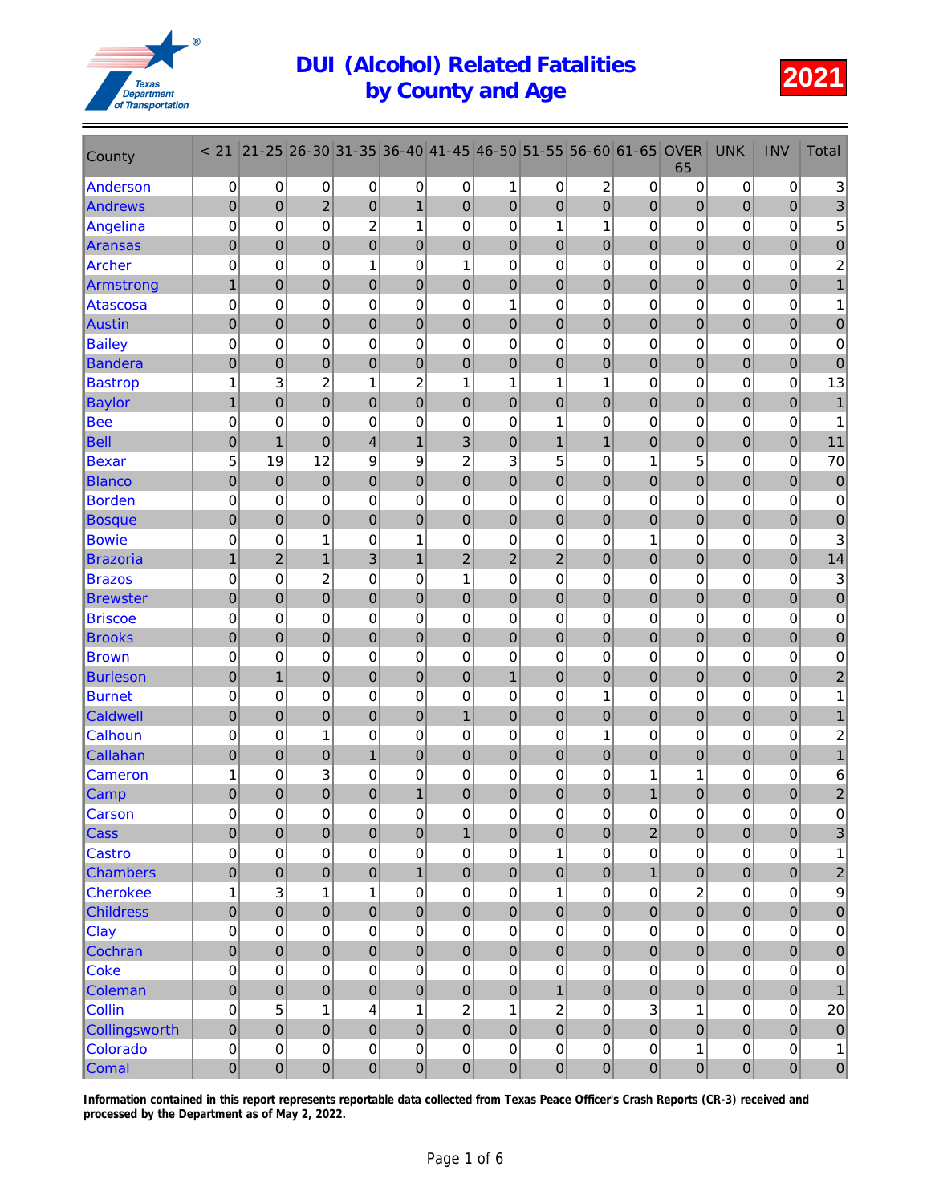

| County           | < 21             | $21 - 25$           | 26-30          | 31-35            | 36-40          | $ 41 - 45 $    | 46-50          | 51-55          | 56-60            | 61-65            | <b>OVER</b><br>65 | <b>UNK</b>       | <b>INV</b>       | <b>Total</b>              |
|------------------|------------------|---------------------|----------------|------------------|----------------|----------------|----------------|----------------|------------------|------------------|-------------------|------------------|------------------|---------------------------|
| Anderson         | 0                | 0                   | 0              | 0                | 0              | 0              | 1              | 0              | $\overline{c}$   | 0                | 0                 | 0                | $\pmb{0}$        | $\ensuremath{\mathsf{3}}$ |
| Andrews          | $\pmb{0}$        | $\mathbf 0$         | $\overline{c}$ | 0                | $\mathbf{1}$   | $\overline{0}$ | $\mathbf 0$    | $\mathbf 0$    | $\overline{0}$   | $\mathbf 0$      | 0                 | $\overline{0}$   | $\pmb{0}$        | $\ensuremath{\mathsf{3}}$ |
| Angelina         | $\pmb{0}$        | 0                   | 0              | $\overline{c}$   | $\mathbf{1}$   | $\mathbf 0$    | 0              | 1              | 1                | 0                | 0                 | 0                | 0                | $\sqrt{5}$                |
| Aransas          | $\mathbf 0$      | $\overline{0}$      | $\overline{0}$ | $\overline{0}$   | $\mathbf 0$    | $\mathbf 0$    | 0              | $\mathbf 0$    | $\overline{0}$   | $\overline{0}$   | 0                 | $\overline{0}$   | $\boldsymbol{0}$ | $\bf 0$                   |
| <b>Archer</b>    | $\mathbf 0$      | 0                   | 0              | 1                | 0              | 1              | 0              | $\mathbf 0$    | $\mathbf 0$      | 0                | 0                 | 0                | 0                | $\overline{\mathbf{c}}$   |
| Armstrong        | $\mathbf{1}$     | 0                   | 0              | $\mathbf 0$      | $\pmb{0}$      | $\pmb{0}$      | 0              | $\mathbf 0$    | $\pmb{0}$        | $\boldsymbol{0}$ | 0                 | $\boldsymbol{0}$ | $\pmb{0}$        | $\mathbf{1}$              |
| Atascosa         | $\boldsymbol{0}$ | 0                   | 0              | 0                | 0              | 0              | 1              | 0              | 0                | 0                | 0                 | 0                | 0                | 1                         |
| Austin           | $\mathbf 0$      | $\overline{0}$      | $\overline{0}$ | $\overline{0}$   | $\pmb{0}$      | $\mathbf 0$    | $\overline{0}$ | $\overline{0}$ | $\overline{0}$   | $\mathbf 0$      | $\mathbf 0$       | $\mathbf 0$      | $\overline{0}$   | $\overline{0}$            |
| <b>Bailey</b>    | $\mathbf 0$      | 0                   | 0              | 0                | 0              | 0              | 0              | 0              | 0                | 0                | 0                 | 0                | 0                | $\pmb{0}$                 |
| <b>Bandera</b>   | $\mathbf 0$      | $\mathbf 0$         | 0              | $\mathbf 0$      | $\pmb{0}$      | $\mathbf 0$    | 0              | $\mathbf 0$    | $\mathbf 0$      | 0                | 0                 | $\overline{0}$   | $\pmb{0}$        | $\bf 0$                   |
| <b>Bastrop</b>   | 1                | 3                   | 2              | 1                | $\overline{c}$ | 1              | 1              | 1              | 1                | 0                | 0                 | 0                | 0                | 13                        |
| <b>Baylor</b>    | 1                | 0                   | 0              | 0                | 0              | $\pmb{0}$      | 0              | $\mathbf 0$    | $\overline{0}$   | 0                | 0                 | $\mathbf 0$      | $\overline{0}$   | $\mathbf{1}$              |
| <b>Bee</b>       | $\mathbf 0$      | $\mathbf 0$         | 0              | 0                | 0              | $\mathbf 0$    | $\mathbf 0$    | 1              | 0                | $\mathbf 0$      | 0                 | 0                | 0                | 1                         |
| <b>Bell</b>      | $\mathbf 0$      | $\overline{1}$      | $\overline{0}$ | 4                | $\mathbf{1}$   | 3              | $\overline{0}$ | $\mathbf{1}$   | $\overline{1}$   | 0                | $\mathbf 0$       | $\boldsymbol{0}$ | $\overline{0}$   | 11                        |
| <b>Bexar</b>     | 5                | 19                  | 12             | 9                | 9              | $\overline{2}$ | 3              | 5              | $\mathbf 0$      | 1                | 5                 | 0                | 0                | 70                        |
| <b>Blanco</b>    | $\pmb{0}$        | $\pmb{0}$           | $\mathbf 0$    | 0                | $\pmb{0}$      | $\bf 0$        | $\mathbf 0$    | $\mathbf 0$    | $\mathbf 0$      | $\boldsymbol{0}$ | 0                 | $\mathbf 0$      | 0                | $\mathbf 0$               |
| <b>Borden</b>    | $\mathbf 0$      | 0                   | 0              | 0                | 0              | 0              | 0              | 0              | 0                | $\mathbf 0$      | 0                 | 0                | 0                | $\mathbf 0$               |
| <b>Bosque</b>    | $\mathbf 0$      | $\overline{0}$      | $\overline{0}$ | $\overline{0}$   | $\overline{0}$ | $\mathbf 0$    | $\overline{0}$ | $\overline{0}$ | $\overline{0}$   | $\overline{0}$   | $\mathbf 0$       | $\mathbf 0$      | $\pmb{0}$        | $\mathbf{0}$              |
| <b>Bowie</b>     | $\mathbf 0$      | 0                   | 1              | 0                | 1              | 0              | 0              | 0              | 0                | 1                | 0                 | 0                | 0                | 3                         |
| <b>Brazoria</b>  | $\mathbf{1}$     | $\overline{2}$      | $\mathbf{1}$   | 3                | $\mathbf{1}$   | $\overline{2}$ | $\overline{c}$ | $\overline{c}$ | $\mathbf 0$      | $\boldsymbol{0}$ | 0                 | $\boldsymbol{0}$ | $\pmb{0}$        | 14                        |
| <b>Brazos</b>    | $\mathbf 0$      | 0                   | 2              | 0                | 0              | 1              | 0              | 0              | 0                | 0                | 0                 | 0                | 0                | $\sqrt{3}$                |
| <b>Brewster</b>  | $\mathbf 0$      | $\mathbf 0$         | 0              | 0                | $\pmb{0}$      | $\mathbf 0$    | 0              | $\mathbf 0$    | $\overline{0}$   | $\boldsymbol{0}$ | 0                 | $\overline{0}$   | $\pmb{0}$        | $\mathbf 0$               |
| <b>Briscoe</b>   | 0                | 0                   | 0              | $\mathbf 0$      | 0              | $\mathbf 0$    | $\pmb{0}$      | 0              | 0                | 0                | 0                 | 0                | 0                | $\pmb{0}$                 |
| <b>Brooks</b>    | $\mathbf 0$      | $\overline{0}$      | $\overline{0}$ | $\overline{0}$   | $\mathbf 0$    | $\mathbf 0$    | $\overline{0}$ | $\mathbf 0$    | $\overline{0}$   | $\overline{0}$   | $\mathbf 0$       | $\mathbf 0$      | $\boldsymbol{0}$ | $\mathbf 0$               |
| <b>Brown</b>     | $\mathbf 0$      | 0                   | 0              | 0                | 0              | 0              | 0              | $\mathbf 0$    | 0                | 0                | 0                 | 0                | 0                | $\pmb{0}$                 |
| <b>Burleson</b>  | $\mathbf 0$      | $\overline{1}$      | 0              | $\mathbf 0$      | $\pmb{0}$      | $\bf 0$        | $\mathbf{1}$   | $\mathbf 0$    | $\pmb{0}$        | $\boldsymbol{0}$ | 0                 | $\boldsymbol{0}$ | $\pmb{0}$        | $\overline{c}$            |
| <b>Burnet</b>    | $\boldsymbol{0}$ | 0                   | 0              | 0                | 0              | $\mathbf 0$    | 0              | 0              | 1                | 0                | 0                 | 0                | 0                | 1                         |
| Caldwell         | $\pmb{0}$        | $\overline{0}$      | $\overline{0}$ | $\overline{0}$   | $\mathbf 0$    | $\overline{1}$ | $\overline{0}$ | $\overline{0}$ | $\overline{0}$   | $\mathbf 0$      | $\mathbf 0$       | $\mathbf 0$      | $\overline{0}$   |                           |
| Calhoun          | 0                | 0                   | 1              | 0                | 0              | 0              | 0              | 0              | 1                | 0                | 0                 | 0                | 0                | $\overline{\mathbf{c}}$   |
| Callahan         | $\mathbf 0$      | $\mathbf 0$         | 0              | $\mathbf{1}$     | $\mathbf 0$    | $\mathbf 0$    | $\mathbf 0$    | $\mathbf 0$    | $\mathbf 0$      | 0                | 0                 | $\overline{0}$   | $\boldsymbol{0}$ | $\mathbf{1}$              |
| Cameron          | 1                | 0                   | 3              | 0                | 0              | 0              | 0              | 0              | 0                | 1                | 1                 | 0                | 0                | $\,6\,$                   |
| Camp             | $\mathbf 0$      | 0                   | $\mathbf 0$    | 0                | 1              | 0              | 0              | $\mathbf 0$    | 0                | 1                | 0                 | 0                | 0                | $\overline{\mathbf{c}}$   |
| <b>Carson</b>    | 0                | $\mathsf{O}\xspace$ | 0              | $\mathbf 0$      | $\mathbf 0$    | 0              | $\Omega$       | 0              | $\mathbf 0$      | 0                | 0                 | 0                | $\Omega$         | $\Omega$                  |
| Cass             | $\pmb{0}$        | $\overline{0}$      | $\mathbf 0$    | $\mathbf 0$      | $\pmb{0}$      | $\mathbf{1}$   | $\pmb{0}$      | $\mathbf 0$    | $\mathbf 0$      | $\overline{2}$   | 0                 | $\pmb{0}$        | $\pmb{0}$        | 3                         |
| <b>Castro</b>    | $\pmb{0}$        | $\mathsf 0$         | $\pmb{0}$      | 0                | $\pmb{0}$      | $\pmb{0}$      | 0              | 1              | $\boldsymbol{0}$ | 0                | 0                 | $\pmb{0}$        | $\mathsf 0$      | 1                         |
| <b>Chambers</b>  | $\mathbf 0$      | $\mathbf 0$         | 0              | $\pmb{0}$        | $\mathbf{1}$   | $\pmb{0}$      | $\mathbf 0$    | $\mathbf 0$    | $\overline{0}$   | $\mathbf{1}$     | 0                 | $\pmb{0}$        | $\pmb{0}$        | $\overline{\mathbf{c}}$   |
| <b>Cherokee</b>  | 1                | $\mathbf{3}$        | $\mathbf{1}$   | $\mathbf 1$      | $\mathsf 0$    | $\pmb{0}$      | $\pmb{0}$      | 1              | $\mathsf 0$      | 0                | $\overline{c}$    | $\mathbf 0$      | $\pmb{0}$        | $\boldsymbol{9}$          |
| <b>Childress</b> | $\mathbf 0$      | $\overline{0}$      | $\overline{0}$ | $\overline{0}$   | $\mathbf 0$    | $\mathbf 0$    | $\overline{0}$ | $\overline{0}$ | $\mathbf 0$      | $\overline{0}$   | $\overline{0}$    | $\overline{0}$   | $\mathbf 0$      | $\mathbf 0$               |
| Clay             | 0                | 0                   | 0              | 0                | $\pmb{0}$      | $\pmb{0}$      | 0              | 0              | $\pmb{0}$        | 0                | 0                 | $\pmb{0}$        | $\pmb{0}$        | $\pmb{0}$                 |
| Cochran          | $\pmb{0}$        | $\mathbf 0$         | 0              | $\mathbf 0$      | $\pmb{0}$      | $\mathbf 0$    | $\mathbf 0$    | $\pmb{0}$      | $\mathbf 0$      | $\mathbf 0$      | 0                 | $\pmb{0}$        | $\mathbf 0$      | $\pmb{0}$                 |
| <b>Coke</b>      | 0                | 0                   | 0              | 0                | $\mathsf 0$    | $\pmb{0}$      | 0              | 0              | $\mathbf 0$      | 0                | 0                 | $\pmb{0}$        | $\pmb{0}$        | $\pmb{0}$                 |
| Coleman          | $\pmb{0}$        | $\mathbf 0$         | 0              | $\pmb{0}$        | $\pmb{0}$      | $\pmb{0}$      | $\pmb{0}$      | $\mathbf{1}$   | $\overline{0}$   | $\pmb{0}$        | 0                 | $\pmb{0}$        | $\overline{0}$   | $\mathbf{1}$              |
| Collin           | $\pmb{0}$        | 5                   | $\mathbf{1}$   | 4                | $\mathbf{1}$   | $\overline{c}$ | $\mathbf 1$    | $\overline{2}$ | $\pmb{0}$        | $\mathbf{3}$     | $\mathbf{1}$      | $\mathbf 0$      | $\pmb{0}$        | 20                        |
| Collingsworth    | $\pmb{0}$        | $\overline{0}$      | $\overline{0}$ | $\overline{0}$   | $\pmb{0}$      | $\mathbf 0$    | $\overline{0}$ | $\overline{0}$ | $\mathbf 0$      | $\overline{0}$   | $\mathbf 0$       | $\mathbf 0$      | $\mathbf 0$      | $\mathbf 0$               |
| Colorado         | $\mathbf 0$      | 0                   | 0              | 0                | $\pmb{0}$      | $\pmb{0}$      | 0              | $\mathbf 0$    | $\mathsf 0$      | 0                | $\mathbf{1}$      | $\mathbf 0$      | $\mathsf 0$      | $\mathbf{1}$              |
| Comal            | $\mathbf 0$      | $\boldsymbol{0}$    | 0              | $\boldsymbol{0}$ | $\pmb{0}$      | $\pmb{0}$      | 0              | $\pmb{0}$      | 0                | $\pmb{0}$        | $\boldsymbol{0}$  | $\overline{0}$   | $\overline{0}$   | ${\bf 0}$                 |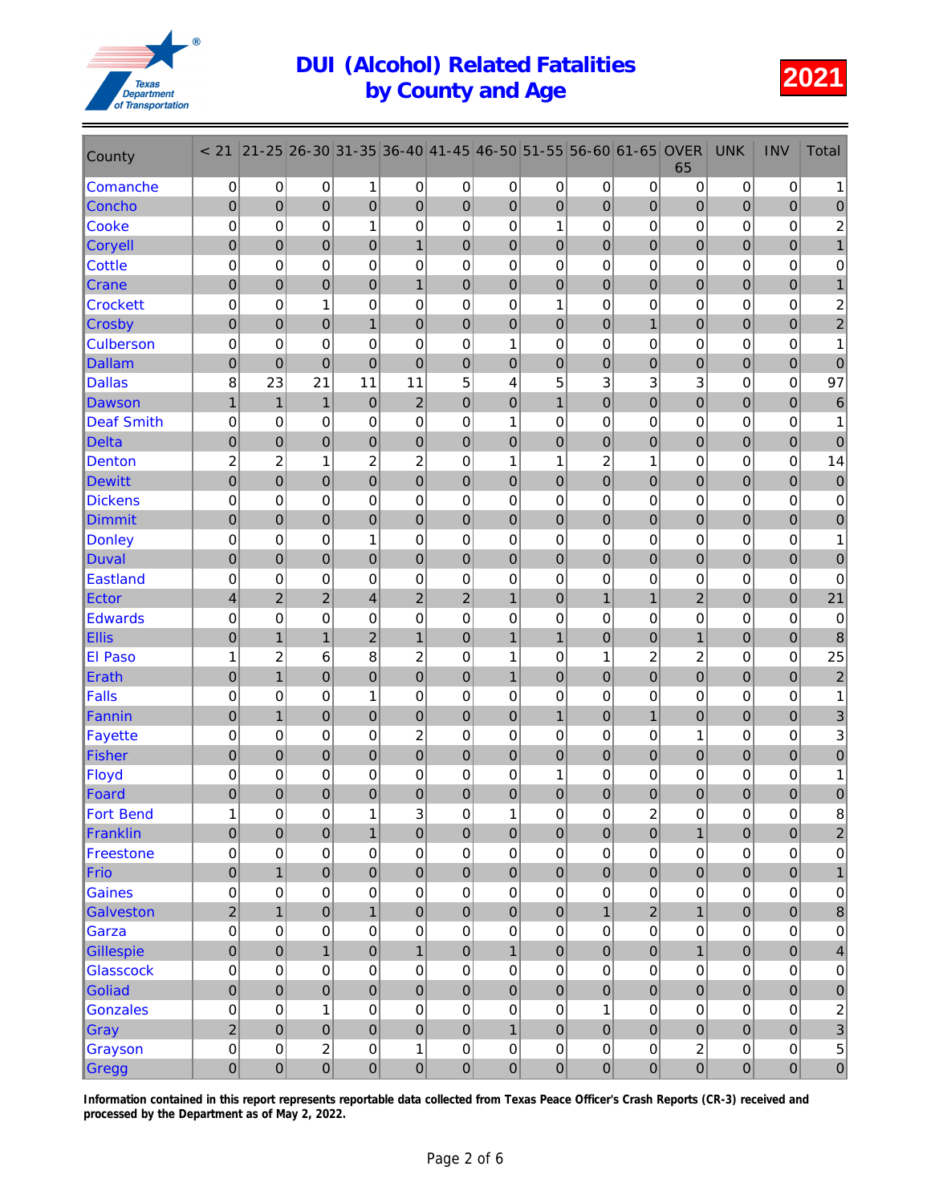

| County            | < 21                    | $21 - 25$        | $26 - 30$        | 31-35                   | 36-40          | $ 41 - 45 $    | 46-50            | 51-55        | 56-60            | 61-65            | <b>OVER</b><br>65 | <b>UNK</b>       | <b>INV</b>       | Total                     |
|-------------------|-------------------------|------------------|------------------|-------------------------|----------------|----------------|------------------|--------------|------------------|------------------|-------------------|------------------|------------------|---------------------------|
| Comanche          | $\pmb{0}$               | 0                | 0                | 1                       | 0              | $\pmb{0}$      | 0                | 0            | $\pmb{0}$        | $\pmb{0}$        | 0                 | $\pmb{0}$        | $\mathbf 0$      | 1                         |
| Concho            | $\mathbf 0$             | $\mathbf 0$      | $\mathbf 0$      | $\mathbf 0$             | $\mathbf 0$    | $\mathbf 0$    | $\boldsymbol{0}$ | $\mathbf 0$  | $\mathbf 0$      | $\mathbf 0$      | $\mathbf 0$       | $\overline{0}$   | $\mathbf 0$      | 0                         |
| <b>Cooke</b>      | $\pmb{0}$               | $\mathbf 0$      | 0                | $\mathbf{1}$            | $\mathbf 0$    | $\mathbf 0$    | 0                | $\mathbf{1}$ | $\mathbf 0$      | 0                | 0                 | 0                | $\mathbf 0$      | $\overline{2}$            |
| <b>Coryell</b>    | $\mathbf 0$             | $\mathbf 0$      | $\mathbf 0$      | $\boldsymbol{0}$        | $\mathbf{1}$   | $\pmb{0}$      | $\mathbf 0$      | $\pmb{0}$    | $\overline{0}$   | $\mathbf 0$      | 0                 | $\overline{0}$   | $\boldsymbol{0}$ | $\mathbf{1}$              |
| <b>Cottle</b>     | $\mathbf 0$             | 0                | 0                | $\mathbf 0$             | $\mathbf 0$    | $\mathbf 0$    | 0                | $\mathbf 0$  | 0                | 0                | 0                 | 0                | $\mathbf 0$      | $\pmb{0}$                 |
| <b>Crane</b>      | $\mathbf 0$             | $\boldsymbol{0}$ | $\mathbf 0$      | $\pmb{0}$               | $\mathbf{1}$   | $\mathbf 0$    | $\boldsymbol{0}$ | $\pmb{0}$    | $\boldsymbol{0}$ | $\boldsymbol{0}$ | $\boldsymbol{0}$  | $\boldsymbol{0}$ | $\mathbf 0$      | 1                         |
| <b>Crockett</b>   | $\mathbf 0$             | 0                | 1                | $\mathbf 0$             | 0              | $\mathbf 0$    | 0                | 1            | 0                | 0                | 0                 | 0                | $\mathbf 0$      | $\overline{\mathbf{c}}$   |
| Crosby            | $\mathbf 0$             | $\mathbf 0$      | $\mathbf 0$      | $\mathbf{1}$            | $\mathbf 0$    | $\mathbf 0$    | $\overline{0}$   | $\mathbf 0$  | $\overline{0}$   | $\mathbf{1}$     | $\mathbf 0$       | $\overline{0}$   | $\overline{0}$   | $\overline{c}$            |
| <b>Culberson</b>  | 0                       | 0                | 0                | $\mathbf 0$             | $\mathbf 0$    | $\mathbf 0$    | 1                | 0            | 0                | 0                | 0                 | 0                | $\mathbf 0$      | 1                         |
| <b>Dallam</b>     | $\mathbf 0$             | $\mathbf 0$      | $\overline{0}$   | $\mathbf 0$             | $\overline{0}$ | $\mathbf 0$    | $\boldsymbol{0}$ | $\mathbf 0$  | $\mathbf 0$      | $\boldsymbol{0}$ | $\boldsymbol{0}$  | $\overline{0}$   | $\overline{0}$   | $\mathbf{0}$              |
| <b>Dallas</b>     | 8                       | 23               | 21               | 11                      | 11             | 5              | 4                | 5            | 3                | 3                | 3                 | 0                | $\mathbf 0$      | 97                        |
| <b>Dawson</b>     | 1                       | $\mathbf{1}$     | $\mathbf{1}$     | $\mathbf 0$             | $\overline{2}$ | $\mathbf 0$    | $\mathbf 0$      | $\mathbf{1}$ | $\overline{0}$   | 0                | 0                 | $\mathbf 0$      | $\mathbf{0}$     | 6                         |
| <b>Deaf Smith</b> | $\mathbf 0$             | $\mathbf 0$      | 0                | 0                       | 0              | $\mathbf 0$    | 1                | 0            | $\mathbf 0$      | 0                | 0                 | 0                | $\mathbf 0$      | 1                         |
| <b>Delta</b>      | $\pmb{0}$               | $\overline{0}$   | $\mathbf 0$      | $\mathbf 0$             | $\mathbf 0$    | $\mathbf 0$    | $\mathbf 0$      | $\pmb{0}$    | $\mathbf 0$      | 0                | $\mathbf 0$       | $\boldsymbol{0}$ | $\overline{0}$   | $\mathbf 0$               |
| <b>Denton</b>     | $\overline{\mathbf{c}}$ | $\overline{c}$   | 1                | $\overline{2}$          | $\overline{c}$ | 0              | 1                | 1            | $\overline{c}$   | 1                | 0                 | 0                | $\mathbf 0$      | 14                        |
| <b>Dewitt</b>     | $\pmb{0}$               | $\mathbf 0$      | $\mathbf 0$      | $\boldsymbol{0}$        | $\mathbf 0$    | $\mathbf 0$    | $\mathbf 0$      | $\pmb{0}$    | $\mathbf 0$      | $\boldsymbol{0}$ | $\boldsymbol{0}$  | $\mathbf 0$      | $\mathbf 0$      | $\boldsymbol{0}$          |
| <b>Dickens</b>    | 0                       | 0                | 0                | $\mathbf 0$             | 0              | 0              | 0                | 0            | 0                | 0                | 0                 | 0                | $\mathbf 0$      | $\pmb{0}$                 |
| <b>Dimmit</b>     | $\mathbf 0$             | $\overline{0}$   | $\overline{0}$   | $\mathbf 0$             | $\overline{0}$ | $\mathbf 0$    | $\overline{0}$   | $\mathbf 0$  | $\overline{0}$   | $\overline{0}$   | $\overline{0}$    | $\overline{0}$   | $\mathbf 0$      | 0                         |
| <b>Donley</b>     | $\mathbf 0$             | 0                | 0                | $\mathbf{1}$            | $\mathbf 0$    | $\mathbf 0$    | 0                | 0            | 0                | 0                | 0                 | 0                | $\mathbf 0$      | 1                         |
| Duval             | $\mathbf 0$             | $\mathbf 0$      | $\mathbf 0$      | $\mathbf 0$             | $\mathbf 0$    | $\mathbf 0$    | $\mathbf 0$      | $\pmb{0}$    | $\overline{0}$   | $\pmb{0}$        | $\boldsymbol{0}$  | $\boldsymbol{0}$ | $\mathbf 0$      | $\pmb{0}$                 |
| <b>Eastland</b>   | $\mathbf 0$             | 0                | 0                | 0                       | 0              | 0              | 0                | 0            | 0                | 0                | 0                 | 0                | 0                | 0                         |
| Ector             | 4                       | $\overline{2}$   | $\overline{2}$   | $\overline{\mathbf{4}}$ | $\overline{2}$ | $\overline{2}$ | $\mathbf{1}$     | $\mathbf 0$  | $\mathbf{1}$     | 1                | $\overline{2}$    | $\overline{0}$   | $\mathbf 0$      | 21                        |
| <b>Edwards</b>    | 0                       | $\mathbf 0$      | 0                | $\mathbf 0$             | $\mathbf 0$    | $\mathbf 0$    | 0                | 0            | $\mathbf 0$      | 0                | 0                 | 0                | $\mathbf 0$      | $\pmb{0}$                 |
| <b>Ellis</b>      | $\mathbf 0$             | $\mathbf{1}$     | $\overline{1}$   | $\overline{c}$          | $\mathbf{1}$   | $\mathbf 0$    | $\mathbf{1}$     | $\mathbf{1}$ | $\overline{0}$   | $\mathbf 0$      | $\mathbf{1}$      | $\overline{0}$   | $\boldsymbol{0}$ | 8                         |
| <b>El Paso</b>    | 1                       | $\overline{c}$   | 6                | 8                       | $\overline{c}$ | $\mathbf 0$    | 1                | $\mathbf 0$  | 1                | $\overline{c}$   | $\overline{c}$    | 0                | $\mathbf 0$      | 25                        |
| <b>Erath</b>      | $\pmb{0}$               | $\mathbf{1}$     | $\mathbf 0$      | $\pmb{0}$               | $\mathbf 0$    | $\mathbf 0$    | $\mathbf{1}$     | $\pmb{0}$    | $\boldsymbol{0}$ | $\boldsymbol{0}$ | $\pmb{0}$         | $\boldsymbol{0}$ | $\bf 0$          | $\overline{c}$            |
| <b>Falls</b>      | $\mathbf 0$             | $\mathbf 0$      | 0                | $\mathbf{1}$            | 0              | $\mathbf 0$    | 0                | 0            | 0                | 0                | 0                 | 0                | $\mathbf 0$      | 1                         |
| Fannin            | $\mathbf 0$             | $\overline{1}$   | $\mathbf 0$      | $\mathbf 0$             | $\mathbf 0$    | $\mathbf 0$    | $\mathbf 0$      | $\mathbf{1}$ | $\overline{0}$   | $\mathbf{1}$     | $\mathbf 0$       | $\overline{0}$   | $\mathbf 0$      | 3                         |
| <b>Fayette</b>    | 0                       | 0                | 0                | 0                       | $\overline{c}$ | $\mathbf 0$    | 0                | 0            | 0                | 0                | 1                 | 0                | $\mathbf 0$      | $\sqrt{3}$                |
| <b>Fisher</b>     | $\mathbf 0$             | $\mathbf 0$      | $\mathbf 0$      | $\boldsymbol{0}$        | $\mathbf 0$    | $\mathbf 0$    | $\boldsymbol{0}$ | $\mathbf 0$  | $\mathbf 0$      | $\boldsymbol{0}$ | $\boldsymbol{0}$  | $\boldsymbol{0}$ | $\mathbf 0$      | $\pmb{0}$                 |
| Floyd             | $\mathbf 0$             | 0                | 0                | 0                       | $\mathbf 0$    | 0              | 0                | 1            | 0                | 0                | 0                 | 0                | $\mathbf 0$      | 1                         |
| Foard             | $\mathbf 0$             | 0                | $\mathbf 0$      | 0                       | $\mathbf{0}$   | $\pmb{0}$      | $\pmb{0}$        | $\mathbf 0$  | $\overline{0}$   | 0                | 0                 | $\mathbf 0$      | 0                | 0                         |
| Fort Bend         | 1                       | 0                | 0                | $\mathbf{1}$            | 3              | 0              | 1                | $\mathsf 0$  | $\mathsf 0$      | $\overline{c}$   | $\pmb{0}$         | $\pmb{0}$        | $\Omega$         | 8                         |
| Franklin          | $\pmb{0}$               | $\mathbf 0$      | $\mathbf 0$      | $\mathbf{1}$            | $\mathbf 0$    | $\mathbf 0$    | $\pmb{0}$        | $\mathbf 0$  | $\mathbf 0$      | $\mathbf 0$      | $\overline{1}$    | $\pmb{0}$        | $\pmb{0}$        | $\overline{\mathbf{c}}$   |
| Freestone         | $\pmb{0}$               | 0                | 0                | $\mathbf 0$             | $\mathsf 0$    | $\mathbf 0$    | $\mathbf 0$      | $\mathsf 0$  | $\mathbf 0$      | 0                | 0                 | $\mathsf 0$      | $\mathbf 0$      | $\pmb{0}$                 |
| Frio              | $\pmb{0}$               | $\mathbf{1}$     | $\boldsymbol{0}$ | $\mathbf 0$             | $\pmb{0}$      | $\mathbf 0$    | $\mathbf 0$      | $\mathbf 0$  | $\mathbf 0$      | $\pmb{0}$        | $\mathbf 0$       | $\pmb{0}$        | $\pmb{0}$        | $\mathbf{1}$              |
| <b>Gaines</b>     | 0                       | $\mathbf 0$      | $\mathbf 0$      | $\mathbf 0$             | $\pmb{0}$      | $\mathbf 0$    | 0                | $\mathbf 0$  | $\mathbf 0$      | 0                | 0                 | $\mathsf 0$      | $\pmb{0}$        | $\pmb{0}$                 |
| <b>Galveston</b>  | $\overline{2}$          | $\overline{1}$   | $\overline{0}$   | $\mathbf{1}$            | $\mathbf 0$    | $\mathbf 0$    | $\overline{0}$   | $\mathbf 0$  | $\overline{1}$   | $\overline{2}$   | $\mathbf{1}$      | $\mathbf 0$      | $\mathbf 0$      | $\bf 8$                   |
| Garza             | $\boldsymbol{0}$        | $\mathbf 0$      | 0                | $\mathbf 0$             | $\pmb{0}$      | $\mathbf 0$    | 0                | $\mathbf 0$  | 0                | 0                | $\mathbf 0$       | $\pmb{0}$        | $\mathbf 0$      | $\pmb{0}$                 |
| Gillespie         | $\pmb{0}$               | $\mathbf 0$      | $\mathbf{1}$     | $\pmb{0}$               | $\mathbf{1}$   | $\mathbf 0$    | $\mathbf{1}$     | $\mathbf 0$  | $\mathbf 0$      | $\mathbf 0$      | $\mathbf{1}$      | $\pmb{0}$        | $\pmb{0}$        | $\overline{\mathcal{A}}$  |
| <b>Glasscock</b>  | $\boldsymbol{0}$        | 0                | 0                | 0                       | $\mathbf 0$    | 0              | $\mathbf 0$      | 0            | 0                | 0                | $\mathbf 0$       | $\mathsf 0$      | $\pmb{0}$        | $\pmb{0}$                 |
| Goliad            | $\pmb{0}$               | $\mathbf 0$      | $\boldsymbol{0}$ | $\pmb{0}$               | $\pmb{0}$      | $\pmb{0}$      | $\boldsymbol{0}$ | $\pmb{0}$    | $\mathbf 0$      | $\pmb{0}$        | $\pmb{0}$         | $\pmb{0}$        | $\pmb{0}$        | $\pmb{0}$                 |
| <b>Gonzales</b>   | $\pmb{0}$               | $\mathbf 0$      | $\mathbf{1}$     | $\mathbf 0$             | $\mathbf 0$    | $\mathbf 0$    | $\pmb{0}$        | $\mathsf 0$  | $\mathbf{1}$     | 0                | 0                 | $\mathsf 0$      | $\mathsf 0$      | $\overline{c}$            |
| Gray              | $\overline{2}$          | $\mathbf 0$      | $\mathbf 0$      | $\mathbf 0$             | $\mathbf 0$    | $\mathbf 0$    | $\mathbf{1}$     | $\mathbf 0$  | $\overline{0}$   | $\overline{0}$   | $\mathbf 0$       | $\mathbf 0$      | $\mathbf 0$      | $\ensuremath{\mathsf{3}}$ |
| Grayson           | $\mathbf 0$             | $\mathbf 0$      | $\overline{c}$   | $\mathbf 0$             | 1              | $\mathbf 0$    | 0                | 0            | $\mathbf 0$      | 0                | $\overline{c}$    | $\mathsf 0$      | $\pmb{0}$        | $\overline{5}$            |
| Gregg             | $\mathbf 0$             | $\overline{0}$   | $\pmb{0}$        | $\mathbf 0$             | $\pmb{0}$      | $\mathbf 0$    | $\pmb{0}$        | $\pmb{0}$    | $\pmb{0}$        | $\mathbf 0$      | $\overline{0}$    | $\overline{0}$   | $\pmb{0}$        | $\mathbf 0$               |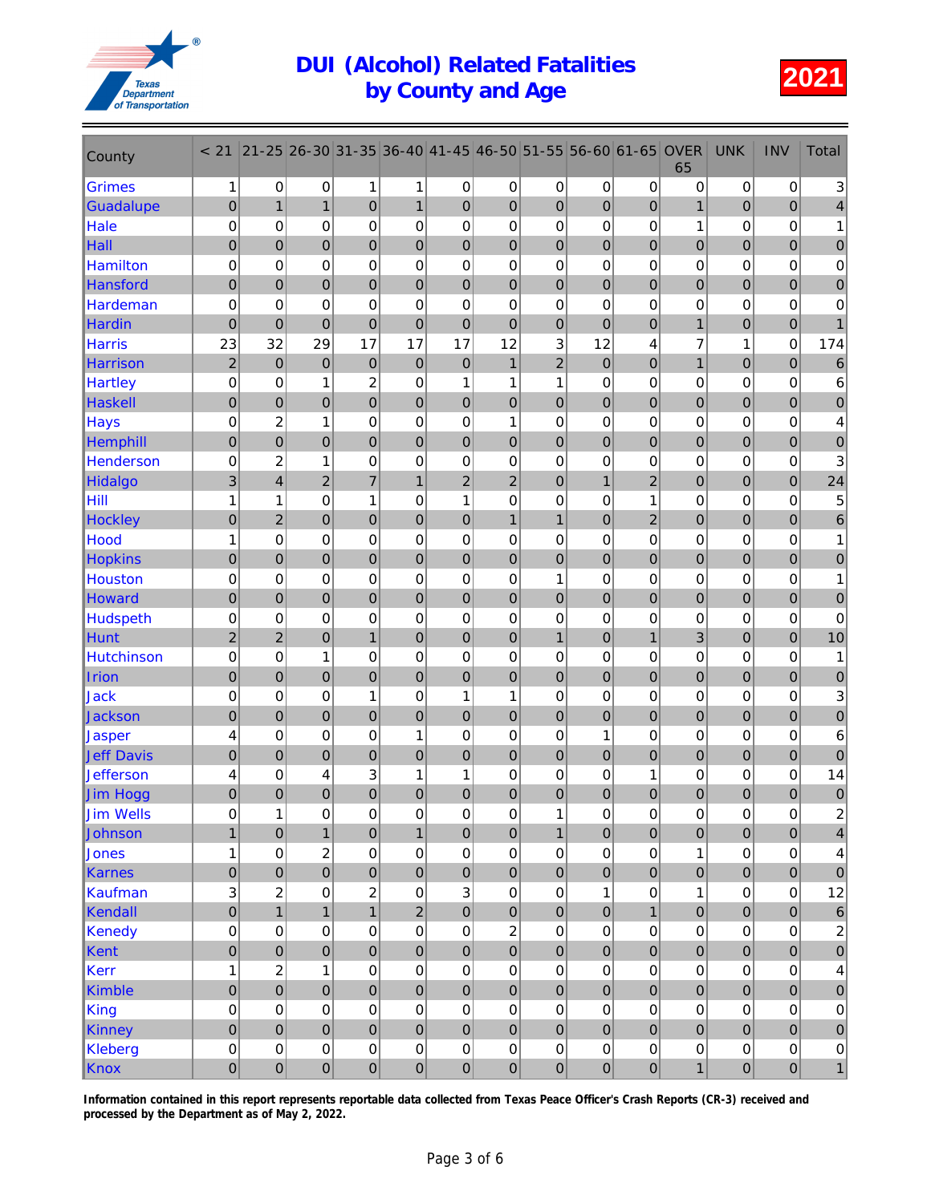

| County                     | < 21                       | $21 - 25$               | 26-30                   | 31-35            | 36-40          | $ 41 - 45 $    | 46-50          | 51-55                      | 56-60                    | 61-65                 | <b>OVER</b><br>65 | <b>UNK</b>            | <b>INV</b>       | <b>Total</b>            |
|----------------------------|----------------------------|-------------------------|-------------------------|------------------|----------------|----------------|----------------|----------------------------|--------------------------|-----------------------|-------------------|-----------------------|------------------|-------------------------|
| <b>Grimes</b>              | 1                          | 0                       | 0                       | 1                | 1              | 0              | 0              | 0                          | 0                        | 0                     | 0                 | 0                     | $\pmb{0}$        | 3                       |
| Guadalupe                  | $\mathbf 0$                | $\mathbf{1}$            | $\mathbf{1}$            | 0                | $\mathbf{1}$   | $\overline{0}$ | 0              | $\mathbf 0$                | $\mathbf 0$              | $\overline{0}$        | $\mathbf{1}$      | $\overline{0}$        | $\pmb{0}$        | 4                       |
| Hale                       | 0                          | 0                       | 0                       | $\mathbf 0$      | 0              | $\mathbf 0$    | 0              | 0                          | 0                        | 0                     | 1                 | 0                     | 0                | 1                       |
| Hall                       | $\mathbf 0$                | $\overline{0}$          | $\overline{0}$          | $\overline{0}$   | $\mathbf 0$    | $\mathbf 0$    | $\overline{0}$ | $\mathbf 0$                | $\overline{0}$           | $\overline{0}$        | $\mathbf 0$       | $\mathbf 0$           | $\boldsymbol{0}$ | 0                       |
| <b>Hamilton</b>            | $\mathbf 0$                | 0                       | 0                       | 0                | 0              | 0              | 0              | $\mathbf 0$                | $\mathbf 0$              | 0                     | 0                 | 0                     | 0                | $\pmb{0}$               |
| <b>Hansford</b>            | $\pmb{0}$                  | $\mathbf 0$             | 0                       | 0                | $\pmb{0}$      | $\pmb{0}$      | 0              | $\mathbf 0$                | $\pmb{0}$                | $\boldsymbol{0}$      | 0                 | $\boldsymbol{0}$      | $\pmb{0}$        | $\pmb{0}$               |
| Hardeman                   | $\mathbf 0$                | 0                       | 0                       | 0                | 0              | $\mathbf 0$    | 0              | 0                          | 0                        | 0                     | 0                 | 0                     | 0                | $\mathbf 0$             |
| Hardin                     | $\mathbf 0$                | $\overline{0}$          | $\overline{0}$          | $\overline{0}$   | $\mathbf 0$    | $\overline{0}$ | $\overline{0}$ | $\overline{0}$             | $\overline{0}$           | $\overline{0}$        | $\overline{1}$    | $\mathbf 0$           | $\overline{0}$   | $\mathbf{1}$            |
| <b>Harris</b>              | 23                         | 32                      | 29                      | 17               | 17             | 17             | 12             | 3                          | 12                       | 4                     | 7                 | 1                     | $\mathbf 0$      | 174                     |
| <b>Harrison</b>            | $\overline{2}$             | $\overline{0}$          | $\overline{0}$          | $\mathbf 0$      | $\bf 0$        | $\mathbf 0$    | $\mathbf{1}$   | $\overline{2}$             | $\overline{0}$           | $\overline{0}$        | $\overline{1}$    | $\overline{0}$        | $\pmb{0}$        | $\,6$                   |
| <b>Hartley</b>             | $\mathbf 0$                | 0                       | 1                       | $\overline{c}$   | 0              | 1              | 1              | 1                          | 0                        | 0                     | 0                 | 0                     | 0                | $\,6$                   |
| <b>Haskell</b>             | $\pmb{0}$                  | 0                       | 0                       | 0                | 0              | $\pmb{0}$      | 0              | $\mathbf 0$                | 0                        | 0                     | 0                 | $\mathbf 0$           | $\overline{0}$   | 0                       |
| <b>Hays</b>                | $\mathbf 0$                | $\overline{c}$          | 1                       | $\mathbf 0$      | 0              | $\mathbf 0$    | 1              | $\mathbf 0$                | $\mathbf 0$              | $\mathbf 0$           | 0                 | 0                     | 0                | 4                       |
| Hemphill                   | $\pmb{0}$                  | $\overline{0}$          | $\overline{0}$          | $\overline{0}$   | $\mathbf 0$    | $\mathbf 0$    | $\mathbf 0$    | $\mathbf 0$                | $\overline{0}$           | $\mathbf 0$           | $\mathbf 0$       | $\mathbf 0$           | $\mathbf 0$      | 0                       |
| <b>Henderson</b>           | $\mathbf 0$                | $\overline{c}$          | 1                       | 0                | 0              | 0              | 0              | 0                          | $\mathbf 0$              | $\mathbf 0$           | 0                 | 0                     | 0                | 3                       |
| Hidalgo                    | 3                          | $\overline{\mathbf{4}}$ | $\overline{c}$          | $\overline{7}$   | $\mathbf{1}$   | $\overline{c}$ | $\overline{c}$ | $\mathbf 0$                | $\mathbf{1}$             | $\overline{2}$        | 0                 | $\boldsymbol{0}$      | $\pmb{0}$        | 24                      |
| Hill                       | 1                          | 1                       | 0                       | 1                | 0              | 1              | 0              | 0                          | 0                        | 1                     | 0                 | 0                     | 0                | $\overline{5}$          |
| <b>Hockley</b>             | $\mathbf 0$                | $\overline{2}$          | $\overline{0}$          | $\overline{0}$   | $\mathbf 0$    | $\mathbf 0$    | $\mathbf{1}$   | $\mathbf{1}$               | $\overline{0}$           | $\overline{2}$        | $\overline{0}$    | $\mathbf 0$           | $\mathbf 0$      | $\,6\,$                 |
| Hood                       | 1                          | 0                       | 0                       | 0                | 0              | 0              | $\mathbf 0$    | $\mathbf 0$                | 0                        | 0                     | 0                 | 0                     | 0                | 1                       |
| <b>Hopkins</b>             | $\mathbf 0$                | $\mathbf 0$             | 0                       | $\mathbf 0$      | $\mathbf 0$    | $\bf 0$        | $\mathbf 0$    | $\mathbf 0$                | $\pmb{0}$                | $\boldsymbol{0}$      | 0                 | $\boldsymbol{0}$      | $\pmb{0}$        | $\bf 0$                 |
| Houston                    | $\mathbf 0$                | 0                       | 0                       | 0                | 0              | 0              | 0              | 1                          | 0                        | 0                     | 0                 | 0                     | 0                | $\mathbf{1}$            |
| Howard                     | $\mathbf 0$                | $\mathbf 0$             | 0                       | 0                | $\pmb{0}$      | $\mathbf 0$    | 0              | $\mathbf 0$                | $\overline{0}$           | $\mathbf{0}$          | 0                 | $\overline{0}$        | $\overline{0}$   | $\pmb{0}$               |
| <b>Hudspeth</b>            | 0                          | 0                       | 0                       | $\mathbf 0$      | 0              | $\mathbf 0$    | 0              | $\mathbf 0$                | 0                        | 0                     | 0                 | 0                     | 0                | $\pmb{0}$               |
| <b>Hunt</b>                | $\overline{2}$             | $\overline{2}$          | $\overline{0}$<br>1     | $\mathbf{1}$     | $\mathbf 0$    | $\mathbf 0$    | $\overline{0}$ | $\mathbf{1}$               | $\overline{0}$           | $\mathbf{1}$          | 3                 | $\mathbf 0$           | $\mathbf 0$      | 10                      |
| <b>Hutchinson</b><br>Irion | $\mathbf 0$<br>$\mathbf 0$ | $\mathbf 0$<br>0        | 0                       | 0<br>$\mathbf 0$ | 0<br>$\pmb{0}$ | 0<br>$\pmb{0}$ | 0<br>0         | $\mathbf 0$<br>$\mathbf 0$ | $\mathbf 0$<br>$\pmb{0}$ | 0<br>$\boldsymbol{0}$ | 0<br>0            | 0<br>$\boldsymbol{0}$ | 0<br>$\pmb{0}$   | 1<br>$\pmb{0}$          |
| Jack                       | $\boldsymbol{0}$           | 0                       | 0                       | 1                | 0              | 1              | 1              | 0                          | $\mathbf 0$              | $\mathbf 0$           | 0                 | 0                     | 0                | 3                       |
| Jackson                    | $\pmb{0}$                  | $\overline{0}$          | $\overline{0}$          | $\overline{0}$   | $\mathbf 0$    | $\overline{0}$ | $\overline{0}$ | $\overline{0}$             | $\overline{0}$           | $\mathbf 0$           | $\mathbf 0$       | $\mathbf 0$           | $\mathbf 0$      | 0                       |
| Jasper                     | 4                          | 0                       | 0                       | 0                | $\mathbf{1}$   | 0              | 0              | 0                          | 1                        | 0                     | 0                 | 0                     | 0                | 6                       |
| <b>Jeff Davis</b>          | $\mathbf 0$                | $\overline{0}$          | 0                       | $\mathbf 0$      | $\pmb{0}$      | $\mathbf 0$    | $\mathbf 0$    | $\mathbf 0$                | $\mathbf 0$              | 0                     | 0                 | $\overline{0}$        | $\pmb{0}$        | $\mathbf 0$             |
| <b>Jefferson</b>           | 4                          | 0                       | 4                       | 3                | 1              | 1              | 0              | 0                          | 0                        | 1                     | 0                 | 0                     | 0                | 14                      |
| Jim Hogg                   | 0                          | 0                       | $\mathbf 0$             | $\mathbf 0$      | $\mathbf 0$    | $\pmb{0}$      | 0              | $\mathbf 0$                | 0                        | 0                     | 0                 | 0                     | 0                | $\pmb{0}$               |
| <b>Jim Wells</b>           | $\mathsf{O}\xspace$        | 1                       | 0                       | $\mathbf 0$      | $\pmb{0}$      | $\mathsf 0$    | 0              | 1                          | $\mathbf 0$              | 0                     | 0                 | 0                     | $\mathsf 0$      | $\mathcal{P}$           |
| Johnson                    | $\mathbf{1}$               | $\mathbf 0$             | $\mathbf{1}$            | $\mathbf 0$      | $\mathbf{1}$   | $\mathbf 0$    | $\pmb{0}$      | $\mathbf{1}$               | $\mathbf 0$              | $\mathbf 0$           | $\mathbf 0$       | $\mathbf 0$           | $\pmb{0}$        | $\overline{\mathbf{4}}$ |
| Jones                      | 1                          | $\mathsf 0$             | $\overline{\mathbf{c}}$ | 0                | $\mathsf 0$    | $\pmb{0}$      | 0              | $\pmb{0}$                  | $\boldsymbol{0}$         | 0                     | 1                 | $\pmb{0}$             | $\mathsf 0$      | 4                       |
| Karnes                     | $\pmb{0}$                  | $\mathbf 0$             | $\mathbf 0$             | $\mathbf 0$      | $\pmb{0}$      | $\mathbf 0$    | $\mathbf 0$    | $\mathbf 0$                | $\overline{0}$           | $\pmb{0}$             | 0                 | $\pmb{0}$             | $\overline{0}$   | $\pmb{0}$               |
| Kaufman                    | $\ensuremath{\mathsf{3}}$  | $\overline{c}$          | 0                       | $\overline{c}$   | $\mathsf 0$    | 3              | $\pmb{0}$      | $\mathbf 0$                | 1                        | 0                     | $\mathbf 1$       | $\mathsf 0$           | $\pmb{0}$        | 12                      |
| Kendall                    | $\mathbf 0$                | $\overline{1}$          | $\overline{1}$          | $\overline{1}$   | $\overline{2}$ | $\mathbf 0$    | $\overline{0}$ | $\overline{0}$             | $\mathbf 0$              | $\overline{1}$        | $\overline{0}$    | $\overline{0}$        | $\mathbf 0$      | $\,6\,$                 |
| Kenedy                     | $\boldsymbol{0}$           | 0                       | 0                       | $\mathbf 0$      | $\mathsf 0$    | $\pmb{0}$      | $\overline{c}$ | 0                          | $\pmb{0}$                | 0                     | 0                 | $\pmb{0}$             | $\pmb{0}$        | $\overline{\mathbf{c}}$ |
| Kent                       | $\pmb{0}$                  | $\mathbf 0$             | $\mathbf 0$             | $\mathbf 0$      | $\mathbf 0$    | $\mathbf 0$    | $\overline{0}$ | $\pmb{0}$                  | $\mathbf 0$              | $\mathbf 0$           | 0                 | $\mathbf 0$           | $\mathbf 0$      | $\mathbf 0$             |
| Kerr                       | 1                          | $\overline{c}$          | 1                       | 0                | $\mathsf 0$    | $\pmb{0}$      | 0              | 0                          | $\mathsf 0$              | 0                     | 0                 | $\pmb{0}$             | $\pmb{0}$        | 4                       |
| Kimble                     | $\mathbf 0$                | $\mathbf 0$             | 0                       | $\mathbf 0$      | $\pmb{0}$      | $\bf 0$        | $\pmb{0}$      | $\mathbf 0$                | $\overline{0}$           | $\mathbf 0$           | 0                 | $\pmb{0}$             | $\pmb{0}$        | $\pmb{0}$               |
| King                       | $\mathbf 0$                | $\mathsf 0$             | 0                       | 0                | $\mathsf 0$    | $\pmb{0}$      | $\pmb{0}$      | 0                          | $\pmb{0}$                | 0                     | 0                 | $\mathsf 0$           | $\mathsf 0$      | $\pmb{0}$               |
| Kinney                     | $\pmb{0}$                  | $\mathbf 0$             | $\overline{0}$          | $\mathbf 0$      | $\mathbf 0$    | $\mathbf 0$    | $\overline{0}$ | $\overline{0}$             | $\mathbf 0$              | $\mathbf 0$           | $\mathbf 0$       | $\overline{0}$        | $\pmb{0}$        | $\pmb{0}$               |
| Kleberg                    | $\mathbf 0$                | 0                       | 0                       | $\mathbf 0$      | $\mathsf 0$    | $\pmb{0}$      | 0              | $\mathbf 0$                | $\mathsf 0$              | 0                     | 0                 | $\pmb{0}$             | $\mathsf 0$      | $\pmb{0}$               |
| Knox                       | $\mathbf 0$                | $\boldsymbol{0}$        | 0                       | $\boldsymbol{0}$ | $\overline{0}$ | $\pmb{0}$      | 0              | $\mathbf 0$                | $\pmb{0}$                | $\mathbf 0$           | $\mathbf{1}$      | 0                     | $\pmb{0}$        | $\mathbf{1}$            |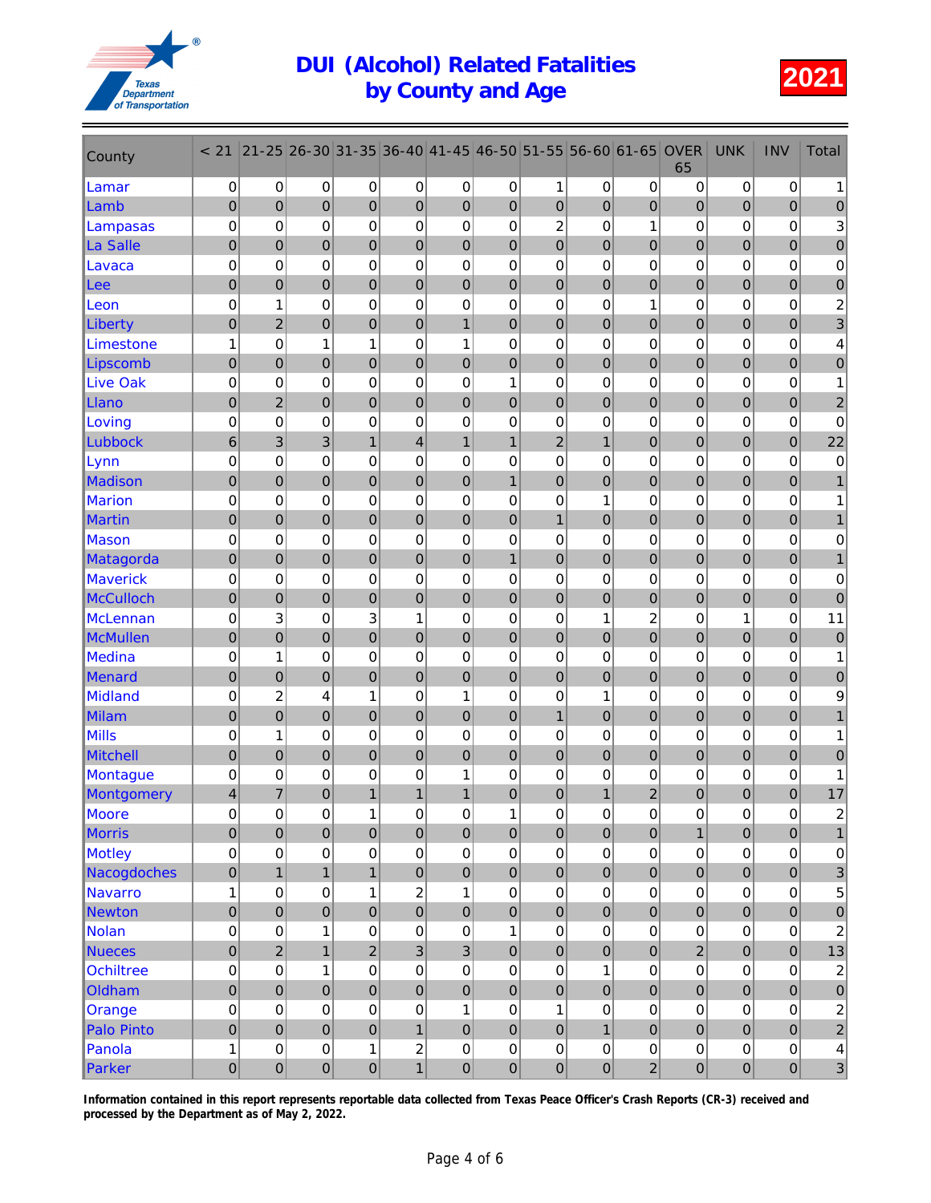

| County           | < 21            | $21 - 25$      | 26-30          | 31-35            | 36-40                   | $ 41 - 45 $    | 46-50          | 51-55          | 56-60          | 61-65            | <b>OVER</b><br>65 | <b>UNK</b>       | <b>INV</b>       | <b>Total</b>              |
|------------------|-----------------|----------------|----------------|------------------|-------------------------|----------------|----------------|----------------|----------------|------------------|-------------------|------------------|------------------|---------------------------|
| Lamar            | 0               | 0              | 0              | 0                | 0                       | 0              | 0              | 1              | 0              | 0                | 0                 | 0                | 0                | 1                         |
| Lamb             | $\pmb{0}$       | $\mathbf 0$    | 0              | 0                | $\pmb{0}$               | $\overline{0}$ | 0              | $\mathbf 0$    | $\overline{0}$ | $\overline{0}$   | 0                 | $\overline{0}$   | $\pmb{0}$        | $\pmb{0}$                 |
| Lampasas         | 0               | $\mathbf 0$    | 0              | 0                | 0                       | $\mathbf 0$    | 0              | $\overline{c}$ | 0              | 1                | 0                 | 0                | 0                | $\sqrt{3}$                |
| La Salle         | $\mathbf 0$     | 0              | $\overline{0}$ | 0                | $\mathbf 0$             | $\mathbf 0$    | $\overline{0}$ | $\mathbf 0$    | $\overline{0}$ | $\overline{0}$   | 0                 | $\overline{0}$   | $\boldsymbol{0}$ | $\pmb{0}$                 |
| Lavaca           | $\mathbf 0$     | 0              | 0              | 0                | 0                       | $\mathbf 0$    | 0              | $\mathbf 0$    | $\mathbf 0$    | 0                | 0                 | 0                | 0                | $\pmb{0}$                 |
| Lee              | $\mathbf 0$     | 0              | 0              | 0                | $\mathbf 0$             | $\pmb{0}$      | 0              | $\mathbf 0$    | $\mathbf 0$    | $\boldsymbol{0}$ | 0                 | $\boldsymbol{0}$ | $\pmb{0}$        | $\pmb{0}$                 |
| Leon             | $\mathbf 0$     | 1              | 0              | 0                | 0                       | $\mathbf 0$    | 0              | 0              | 0              | 1                | 0                 | 0                | 0                | $\overline{\mathbf{c}}$   |
| Liberty          | $\mathbf 0$     | $\overline{2}$ | $\overline{0}$ | $\overline{0}$   | $\mathbf 0$             | $\mathbf{1}$   | $\overline{0}$ | $\overline{0}$ | $\overline{0}$ | $\overline{0}$   | $\mathbf 0$       | $\mathbf 0$      | $\overline{0}$   | 3                         |
| Limestone        | 1               | 0              | 1              | 1                | 0                       | 1              | 0              | 0              | 0              | 0                | 0                 | 0                | 0                | 4                         |
| Lipscomb         | $\mathbf 0$     | $\overline{0}$ | 0              | $\mathbf 0$      | $\overline{0}$          | $\mathbf 0$    | $\overline{0}$ | $\mathbf 0$    | $\mathbf 0$    | $\overline{0}$   | 0                 | $\overline{0}$   | $\overline{0}$   | $\pmb{0}$                 |
| <b>Live Oak</b>  | $\mathbf 0$     | 0              | 0              | 0                | 0                       | 0              | 1              | 0              | 0              | 0                | 0                 | 0                | 0                | $\mathbf{1}$              |
| Llano            | $\mathbf 0$     | $\overline{2}$ | 0              | 0                | 0                       | $\mathbf 0$    | 0              | $\mathbf 0$    | $\overline{0}$ | 0                | 0                 | $\mathbf 0$      | $\overline{0}$   | $\overline{\mathbf{c}}$   |
| Loving           | $\mathbf 0$     | $\mathbf 0$    | 0              | 0                | 0                       | $\mathbf 0$    | $\mathbf 0$    | $\mathbf 0$    | $\mathbf 0$    | $\mathbf 0$      | 0                 | 0                | 0                | $\pmb{0}$                 |
| Lubbock          | $6\phantom{1}6$ | 3              | 3              | $\mathbf{1}$     | $\overline{\mathbf{4}}$ | $\mathbf{1}$   | $\mathbf{1}$   | $\overline{c}$ | $\overline{1}$ | 0                | $\mathbf 0$       | $\boldsymbol{0}$ | $\mathbf 0$      | 22                        |
| Lynn             | $\mathbf 0$     | 0              | 0              | 0                | 0                       | 0              | 0              | 0              | $\mathbf 0$    | 0                | 0                 | 0                | 0                | $\mathbf 0$               |
| <b>Madison</b>   | $\mathbf 0$     | $\mathbf 0$    | 0              | 0                | $\pmb{0}$               | $\bf 0$        | $\mathbf{1}$   | $\mathbf 0$    | $\overline{0}$ | $\mathbf 0$      | 0                 | $\boldsymbol{0}$ | $\pmb{0}$        | $\mathbf{1}$              |
| <b>Marion</b>    | $\mathbf 0$     | 0              | 0              | 0                | 0                       | 0              | 0              | 0              | 1              | 0                | 0                 | 0                | 0                | 1                         |
| <b>Martin</b>    | $\mathbf 0$     | $\overline{0}$ | $\overline{0}$ | $\overline{0}$   | $\mathbf 0$             | $\mathbf 0$    | $\overline{0}$ | $\overline{1}$ | $\overline{0}$ | $\overline{0}$   | $\overline{0}$    | $\mathbf 0$      | $\boldsymbol{0}$ | 1                         |
| Mason            | $\mathbf 0$     | 0              | 0              | 0                | 0                       | 0              | 0              | $\mathbf 0$    | 0              | 0                | 0                 | 0                | 0                | $\pmb{0}$                 |
| Matagorda        | $\mathbf 0$     | $\overline{0}$ | 0              | 0                | $\mathbf 0$             | $\overline{0}$ | $\mathbf{1}$   | $\mathbf 0$    | $\mathbf 0$    | $\mathbf 0$      | 0                 | $\boldsymbol{0}$ | $\overline{0}$   | $\mathbf{1}$              |
| Maverick         | $\mathbf 0$     | 0              | 0              | 0                | 0                       | 0              | 0              | 0              | 0              | 0                | 0                 | 0                | 0                | 0                         |
| <b>McCulloch</b> | $\mathbf 0$     | $\mathbf 0$    | 0              | 0                | $\overline{0}$          | $\overline{0}$ | 0              | $\mathbf 0$    | $\overline{0}$ | 0                | 0                 | $\overline{0}$   | $\overline{0}$   | $\mathbf 0$               |
| <b>McLennan</b>  | 0               | 3              | 0              | 3                | 1                       | $\mathbf 0$    | 0              | $\mathbf 0$    | 1              | $\overline{c}$   | 0                 | 1                | 0                | 11                        |
| <b>McMullen</b>  | $\mathbf 0$     | $\overline{0}$ | $\overline{0}$ | $\overline{0}$   | $\mathbf 0$             | $\mathbf 0$    | $\overline{0}$ | $\mathbf 0$    | $\overline{0}$ | $\overline{0}$   | $\mathbf 0$       | $\overline{0}$   | $\overline{0}$   | $\mathbf 0$               |
| <b>Medina</b>    | $\mathbf 0$     | 1              | 0              | 0                | 0                       | $\mathbf 0$    | 0              | $\mathbf 0$    | $\mathbf 0$    | 0                | 0                 | 0                | 0                | 1                         |
| Menard           | $\mathbf 0$     | 0              | 0              | $\mathbf 0$      | $\mathbf 0$             | $\pmb{0}$      | 0              | $\mathbf 0$    | $\mathbf 0$    | $\boldsymbol{0}$ | 0                 | $\boldsymbol{0}$ | $\pmb{0}$        | $\pmb{0}$                 |
| Midland          | $\mathbf 0$     | $\overline{c}$ | 4              | 1                | 0                       | 1              | 0              | 0              | 1              | 0                | 0                 | 0                | 0                | 9                         |
| <b>Milam</b>     | $\pmb{0}$       | $\overline{0}$ | $\overline{0}$ | $\overline{0}$   | $\mathbf 0$             | $\overline{0}$ | $\overline{0}$ | $\mathbf{1}$   | $\overline{0}$ | $\overline{0}$   | $\mathbf 0$       | $\mathbf 0$      | $\overline{0}$   |                           |
| <b>Mills</b>     | $\mathbf 0$     | 1              | 0              | 0                | 0                       | 0              | 0              | 0              | 0              | 0                | 0                 | 0                | 0                |                           |
| <b>Mitchell</b>  | $\mathbf 0$     | $\overline{0}$ | 0              | $\mathbf 0$      | $\mathbf 0$             | $\mathbf 0$    | $\mathbf 0$    | $\mathbf 0$    | $\mathbf 0$    | 0                | 0                 | $\overline{0}$   | $\boldsymbol{0}$ | $\pmb{0}$                 |
| Montague         | $\mathbf 0$     | 0              | 0              | 0                | 0                       | 1              | 0              | 0              | 0              | 0                | 0                 | 0                | 0                | 1                         |
| Montgomery       | 4               | 7              | 0              | 1                | 1                       | 1              | 0              | 0              | 1              | 2                | 0                 | 0                | 0                | 17                        |
| <b>Moore</b>     | 0               | 0              | 0              | 1                | $\pmb{0}$               | 0              | 1              | 0              | 0              | 0                | 0                 | 0                | $\Omega$         | $\mathfrak{p}$            |
| Morris           | $\mathbf 0$     | $\overline{0}$ | $\mathbf 0$    | $\mathbf 0$      | $\pmb{0}$               | $\mathbf 0$    | $\mathbf 0$    | $\mathbf 0$    | $\mathbf 0$    | $\pmb{0}$        | $\mathbf{1}$      | $\mathbf 0$      | $\pmb{0}$        | $\mathbf{1}$              |
| Motley           | $\pmb{0}$       | 0              | 0              | 0                | $\pmb{0}$               | $\pmb{0}$      | 0              | 0              | $\pmb{0}$      | 0                | 0                 | $\pmb{0}$        | $\mathsf 0$      | $\pmb{0}$                 |
| Nacogdoches      | $\pmb{0}$       | $\overline{1}$ | $\mathbf{1}$   | $\mathbf{1}$     | $\pmb{0}$               | $\pmb{0}$      | $\mathbf 0$    | $\mathbf 0$    | $\overline{0}$ | $\pmb{0}$        | 0                 | $\pmb{0}$        | $\pmb{0}$        | $\ensuremath{\mathsf{3}}$ |
| <b>Navarro</b>   | 1               | 0              | 0              | 1                | $\boldsymbol{2}$        | $\mathbf{1}$   | 0              | $\mathbf 0$    | $\mathsf 0$    | 0                | 0                 | $\mathsf 0$      | $\pmb{0}$        | $\mathbf 5$               |
| <b>Newton</b>    | $\mathbf 0$     | $\overline{0}$ | $\overline{0}$ | $\overline{0}$   | $\mathbf 0$             | $\mathbf 0$    | $\overline{0}$ | $\overline{0}$ | $\mathbf 0$    | $\overline{0}$   | $\overline{0}$    | $\overline{0}$   | $\mathbf 0$      | $\mathbf 0$               |
| <b>Nolan</b>     | 0               | 0              | 1              | $\mathbf 0$      | $\pmb{0}$               | $\pmb{0}$      | 1              | 0              | $\pmb{0}$      | 0                | 0                 | $\pmb{0}$        | $\pmb{0}$        | $\overline{\mathbf{c}}$   |
| <b>Nueces</b>    | $\pmb{0}$       | $\overline{2}$ | $\overline{1}$ | $\overline{c}$   | $\mathbf{3}$            | $\overline{3}$ | $\pmb{0}$      | $\pmb{0}$      | $\mathbf 0$    | $\mathbf 0$      | $\overline{c}$    | $\mathbf 0$      | $\pmb{0}$        | 13                        |
| <b>Ochiltree</b> | 0               | 0              | 1              | 0                | $\mathsf 0$             | 0              | 0              | 0              | 1              | 0                | 0                 | $\pmb{0}$        | $\pmb{0}$        | $\boldsymbol{2}$          |
| Oldham           | $\pmb{0}$       | $\mathbf 0$    | 0              | $\mathbf 0$      | $\pmb{0}$               | $\bf 0$        | $\pmb{0}$      | $\mathbf 0$    | $\mathbf 0$    | $\pmb{0}$        | 0                 | $\pmb{0}$        | $\overline{0}$   | $\pmb{0}$                 |
| Orange           | $\pmb{0}$       | $\mathsf 0$    | 0              | 0                | $\mathsf 0$             | $\mathbf{1}$   | $\pmb{0}$      | 1              | $\pmb{0}$      | 0                | $\mathsf 0$       | $\mathbf 0$      | $\pmb{0}$        | $\overline{c}$            |
| Palo Pinto       | $\pmb{0}$       | $\overline{0}$ | $\overline{0}$ | $\overline{0}$   | $\mathbf{1}$            | $\mathbf 0$    | $\overline{0}$ | $\overline{0}$ | $\mathbf{1}$   | $\mathbf 0$      | $\mathbf 0$       | $\overline{0}$   | $\mathbf 0$      | $\sqrt{2}$                |
| Panola           | 1               | 0              | 0              | $\mathbf 1$      | $\boldsymbol{2}$        | $\pmb{0}$      | 0              | $\overline{0}$ | $\mathsf 0$    | 0                | 0                 | $\mathsf 0$      | $\pmb{0}$        | $\overline{\mathbf{4}}$   |
| Parker           | $\mathbf 0$     | $\overline{0}$ | 0              | $\boldsymbol{0}$ | $\mathbf{1}$            | $\mathbf 0$    | 0              | $\mathbf 0$    | $\pmb{0}$      | $\overline{c}$   | 0                 | $\boldsymbol{0}$ | $\overline{0}$   | $\overline{3}$            |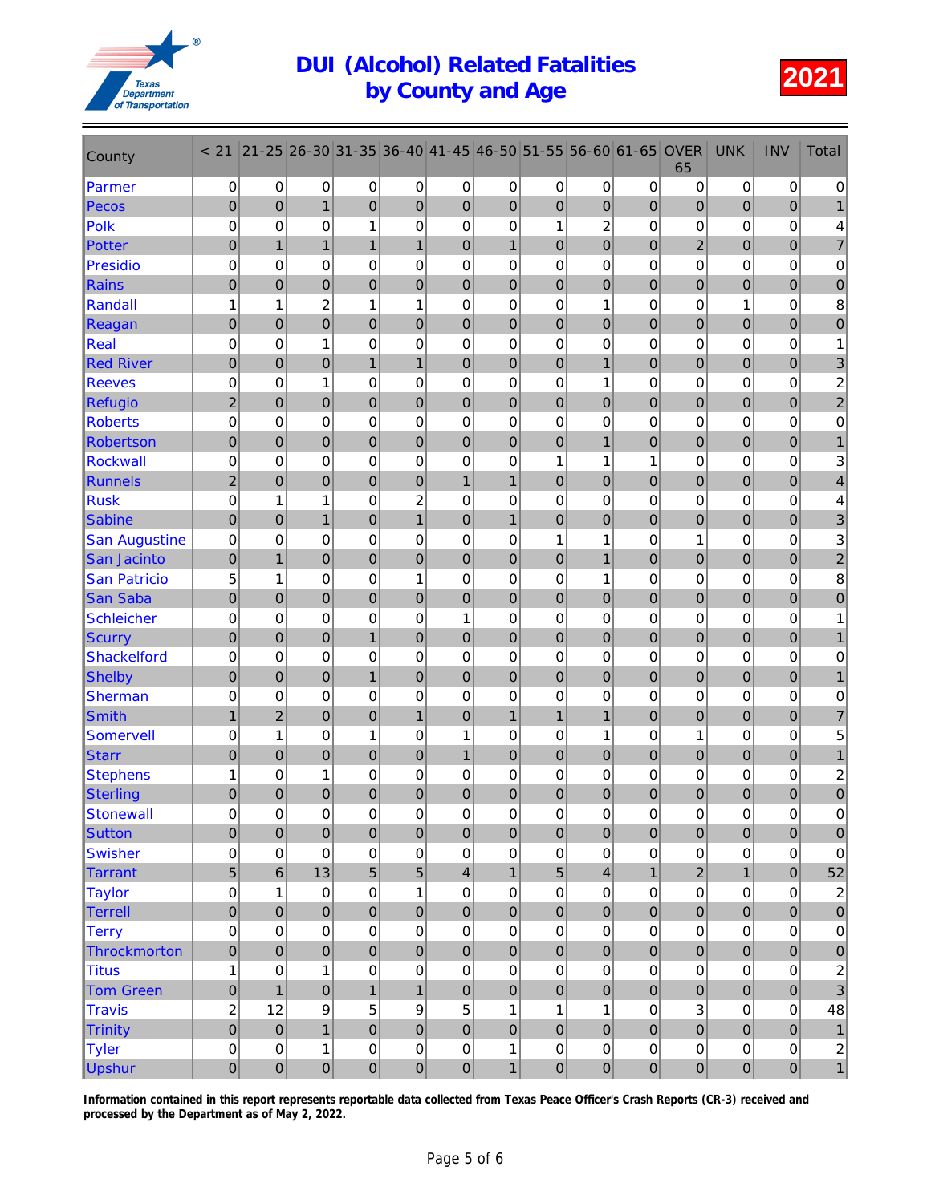

| County               | < 21                | $21 - 25$      | 26-30            | 31-35            | 36-40            | $ 41 - 45 $             | 46-50            | 51-55            | 56-60            | $ 61 - 65 $      | <b>OVER</b><br>65 | <b>UNK</b>       | <b>INV</b>       | Total                   |
|----------------------|---------------------|----------------|------------------|------------------|------------------|-------------------------|------------------|------------------|------------------|------------------|-------------------|------------------|------------------|-------------------------|
| Parmer               | 0                   | 0              | 0                | 0                | 0                | $\pmb{0}$               | 0                | 0                | 0                | $\mathbf 0$      | 0                 | $\mathbf 0$      | $\mathbf 0$      | 0                       |
| Pecos                | $\mathbf 0$         | $\mathbf 0$    | $\mathbf{1}$     | $\mathbf 0$      | $\overline{0}$   | $\mathbf 0$             | $\boldsymbol{0}$ | $\mathbf 0$      | $\mathbf 0$      | 0                | $\mathbf 0$       | $\overline{0}$   | $\overline{0}$   |                         |
| <b>Polk</b>          | 0                   | $\mathbf 0$    | 0                | $\mathbf{1}$     | $\mathbf 0$      | $\mathbf 0$             | 0                | $\mathbf{1}$     | $\overline{c}$   | 0                | 0                 | 0                | $\mathbf 0$      | 4                       |
| <b>Potter</b>        | $\mathbf 0$         | $\mathbf{1}$   | $\mathbf{1}$     | $\mathbf{1}$     | $\mathbf{1}$     | $\pmb{0}$               | $\mathbf{1}$     | $\mathbf 0$      | $\overline{0}$   | $\overline{0}$   | $\overline{2}$    | $\overline{0}$   | $\boldsymbol{0}$ | $\overline{7}$          |
| <b>Presidio</b>      | $\mathbf 0$         | 0              | 0                | 0                | $\mathbf 0$      | $\mathbf 0$             | 0                | $\mathbf 0$      | 0                | 0                | 0                 | 0                | $\mathbf 0$      | $\pmb{0}$               |
| <b>Rains</b>         | $\mathbf 0$         | 0              | $\mathbf 0$      | $\boldsymbol{0}$ | $\mathbf 0$      | $\mathbf 0$             | $\boldsymbol{0}$ | $\pmb{0}$        | $\boldsymbol{0}$ | $\boldsymbol{0}$ | $\boldsymbol{0}$  | $\boldsymbol{0}$ | $\mathbf 0$      | $\pmb{0}$               |
| Randall              | 1                   | 1              | $\overline{c}$   | 1                | 1                | 0                       | 0                | 0                | 1                | 0                | 0                 | 1                | $\mathbf 0$      | 8                       |
| Reagan               | $\mathbf 0$         | $\overline{0}$ | $\overline{0}$   | $\mathbf 0$      | $\mathbf 0$      | $\mathbf 0$             | $\overline{0}$   | $\mathbf 0$      | $\overline{0}$   | $\overline{0}$   | $\mathbf 0$       | $\overline{0}$   | $\overline{0}$   | 0                       |
| Real                 | 0                   | 0              | 1                | 0                | $\mathbf 0$      | $\mathbf 0$             | 0                | 0                | 0                | 0                | 0                 | 0                | $\mathbf 0$      | 1                       |
| <b>Red River</b>     | $\mathbf 0$         | $\mathbf 0$    | $\overline{0}$   | $\mathbf{1}$     | $\mathbf{1}$     | $\mathbf 0$             | $\mathbf 0$      | $\mathbf 0$      | $\mathbf{1}$     | $\boldsymbol{0}$ | $\boldsymbol{0}$  | $\overline{0}$   | $\mathbf 0$      | 3                       |
| <b>Reeves</b>        | $\mathbf 0$         | 0              | 1                | 0                | $\mathbf 0$      | $\mathbf 0$             | 0                | 0                | 1                | 0                | 0                 | 0                | $\mathbf 0$      | $\overline{\mathbf{c}}$ |
| <b>Refugio</b>       | $\overline{2}$      | 0              | $\mathbf 0$      | $\boldsymbol{0}$ | $\mathbf 0$      | $\mathbf 0$             | $\boldsymbol{0}$ | $\boldsymbol{0}$ | $\overline{0}$   | 0                | 0                 | $\mathbf 0$      | $\overline{0}$   | $\overline{\mathbf{c}}$ |
| <b>Roberts</b>       | $\mathbf 0$         | $\mathbf 0$    | 0                | $\mathbf 0$      | $\mathbf 0$      | $\mathbf 0$             | $\mathbf 0$      | 0                | 0                | 0                | 0                 | 0                | $\mathbf 0$      | $\pmb{0}$               |
| Robertson            | $\mathbf 0$         | $\mathbf 0$    | $\overline{0}$   | $\mathbf 0$      | $\mathbf 0$      | $\mathbf 0$             | $\mathbf 0$      | $\pmb{0}$        | $\mathbf{1}$     | 0                | $\mathbf 0$       | $\boldsymbol{0}$ | $\overline{0}$   |                         |
| <b>Rockwall</b>      | $\mathbf 0$         | $\mathbf 0$    | 0                | 0                | $\mathbf 0$      | 0                       | 0                | 1                | 1                | 1                | 0                 | 0                | $\mathbf 0$      | 3                       |
| <b>Runnels</b>       | $\overline{2}$      | $\mathbf 0$    | $\mathbf 0$      | $\boldsymbol{0}$ | $\mathbf 0$      | $\mathbf{1}$            | $\mathbf{1}$     | $\pmb{0}$        | $\mathbf 0$      | $\boldsymbol{0}$ | $\boldsymbol{0}$  | $\boldsymbol{0}$ | $\bf 0$          | 4                       |
| <b>Rusk</b>          | 0                   | 1              | 1                | $\mathbf 0$      | $\overline{c}$   | 0                       | 0                | 0                | 0                | 0                | 0                 | 0                | $\mathbf 0$      | 4                       |
| <b>Sabine</b>        | $\overline{0}$      | $\overline{0}$ | $\mathbf{1}$     | $\mathbf 0$      | $\mathbf{1}$     | $\mathbf 0$             | $\mathbf{1}$     | $\mathbf 0$      | $\overline{0}$   | $\overline{0}$   | $\overline{0}$    | $\mathbf 0$      | $\mathbf 0$      | 3                       |
| <b>San Augustine</b> | $\mathbf 0$         | 0              | 0                | 0                | $\mathbf 0$      | $\mathbf 0$             | 0                | 1                | 1                | 0                | 1                 | 0                | $\mathbf 0$      | 3                       |
| San Jacinto          | $\mathbf 0$         | $\mathbf{1}$   | $\mathbf 0$      | $\mathbf 0$      | $\mathbf 0$      | $\mathbf 0$             | $\mathbf 0$      | $\pmb{0}$        | $\overline{1}$   | $\pmb{0}$        | $\boldsymbol{0}$  | $\boldsymbol{0}$ | $\mathbf 0$      | $\overline{c}$          |
| <b>San Patricio</b>  | 5                   | 1              | 0                | 0                | 1                | 0                       | 0                | 0                | 1                | 0                | 0                 | 0                | 0                | 8                       |
| <b>San Saba</b>      | $\mathbf 0$         | $\mathbf 0$    | $\mathbf 0$      | $\boldsymbol{0}$ | $\overline{0}$   | $\boldsymbol{0}$        | $\boldsymbol{0}$ | $\mathbf 0$      | $\mathbf 0$      | 0                | 0                 | $\overline{0}$   | $\overline{0}$   | 0                       |
| <b>Schleicher</b>    | 0                   | $\mathbf 0$    | 0                | $\mathbf 0$      | $\mathbf 0$      | 1                       | 0                | 0                | $\mathbf 0$      | 0                | 0                 | 0                | $\mathbf 0$      | 1                       |
| <b>Scurry</b>        | $\mathbf 0$         | $\mathbf 0$    | $\mathbf 0$      | $\mathbf{1}$     | $\overline{0}$   | $\mathbf 0$             | $\mathbf 0$      | $\mathbf 0$      | $\mathbf 0$      | $\overline{0}$   | $\mathbf 0$       | $\mathbf 0$      | $\boldsymbol{0}$ |                         |
| <b>Shackelford</b>   | $\mathbf 0$         | 0              | 0                | $\mathbf 0$      | $\mathbf 0$      | $\mathbf 0$             | 0                | $\mathbf 0$      | $\Omega$         | 0                | 0                 | 0                | $\mathbf 0$      | $\pmb{0}$               |
| <b>Shelby</b>        | $\pmb{0}$           | $\pmb{0}$      | $\mathbf 0$      | $\mathbf{1}$     | $\mathbf 0$      | $\mathbf 0$             | $\boldsymbol{0}$ | $\pmb{0}$        | $\boldsymbol{0}$ | $\boldsymbol{0}$ | $\mathbf 0$       | $\boldsymbol{0}$ | $\mathbf 0$      | 1                       |
| Sherman              | $\mathbf 0$         | 0              | 0                | 0                | $\mathbf 0$      | $\mathbf 0$             | 0                | 0                | 0                | 0                | 0                 | 0                | $\mathbf 0$      | 0                       |
| <b>Smith</b>         | $\mathbf{1}$        | $\overline{2}$ | $\mathbf 0$      | $\mathbf 0$      | $\mathbf{1}$     | $\mathbf 0$             | $\mathbf{1}$     | $\mathbf{1}$     | $\overline{1}$   | $\overline{0}$   | $\mathbf 0$       | $\mathbf 0$      | $\mathbf 0$      | $\overline{7}$          |
| <b>Somervell</b>     | $\mathbf 0$         | 1              | 0                | $\mathbf{1}$     | $\mathbf 0$      | 1                       | 0                | 0                | 1                | 0                | 1                 | 0                | $\mathbf 0$      | 5                       |
| <b>Starr</b>         | $\mathbf 0$         | $\overline{0}$ | $\mathbf 0$      | $\mathbf 0$      | $\mathbf 0$      | $\overline{1}$          | $\boldsymbol{0}$ | $\pmb{0}$        | $\mathbf 0$      | 0                | $\boldsymbol{0}$  | $\boldsymbol{0}$ | $\mathbf 0$      | $\mathbf{1}$            |
| <b>Stephens</b>      | 1                   | 0              | 1                | 0                | $\mathbf 0$      | 0                       | 0                | 0                | 0                | 0                | 0                 | 0                | $\mathbf 0$      | 2                       |
| Sterling             | $\mathbf 0$         | 0              | $\mathbf 0$      | 0                | $\mathbf 0$      | 0                       | $\mathbf 0$      | $\boldsymbol{0}$ | 0                | 0                | 0                 | $\mathbf 0$      | 0                | $\mathbf 0$             |
| <b>Stonewall</b>     | $\mathsf{O}\xspace$ | 0              | 0                | $\mathsf 0$      | $\mathsf 0$      | 0                       | 0                | $\mathsf 0$      | $\mathsf 0$      | 0                | $\pmb{0}$         | $\pmb{0}$        | $\Omega$         | $\Omega$                |
| <b>Sutton</b>        | $\pmb{0}$           | $\mathbf 0$    | $\mathbf 0$      | $\mathbf 0$      | $\mathbf 0$      | $\mathbf 0$             | $\mathbf 0$      | $\mathbf 0$      | $\mathbf 0$      | $\mathbf 0$      | $\mathbf 0$       | $\mathbf 0$      | $\pmb{0}$        | $\pmb{0}$               |
| <b>Swisher</b>       | $\pmb{0}$           | $\mathbf 0$    | $\mathbf 0$      | $\pmb{0}$        | $\mathbf 0$      | $\pmb{0}$               | 0                | $\pmb{0}$        | $\mathbf 0$      | 0                | 0                 | $\mathsf 0$      | $\pmb{0}$        | $\pmb{0}$               |
| <b>Tarrant</b>       | $\overline{5}$      | $6\phantom{a}$ | 13               | 5                | $\overline{5}$   | $\overline{\mathbf{4}}$ | $\mathbf{1}$     | 5                | $\overline{4}$   | $\mathbf{1}$     | $\overline{c}$    | $\mathbf{1}$     | $\pmb{0}$        | 52                      |
| <b>Taylor</b>        | 0                   | 1              | $\mathbf 0$      | $\mathbf 0$      | 1                | $\mathbf 0$             | 0                | $\mathbf 0$      | $\mathbf 0$      | 0                | 0                 | $\mathsf 0$      | $\mathbf 0$      | $\overline{c}$          |
| <b>Terrell</b>       | $\mathbf 0$         | $\mathbf 0$    | $\mathbf 0$      | $\mathbf 0$      | $\mathbf 0$      | $\mathbf 0$             | $\overline{0}$   | $\mathbf 0$      | $\overline{0}$   | $\overline{0}$   | $\mathbf 0$       | $\mathbf 0$      | $\overline{0}$   | $\bf 0$                 |
| <b>Terry</b>         | 0                   | 0              | 0                | 0                | $\pmb{0}$        | $\mathbf 0$             | 0                | $\pmb{0}$        | $\mathbf 0$      | 0                | 0                 | $\pmb{0}$        | $\mathbf 0$      | $\pmb{0}$               |
| Throckmorton         | $\pmb{0}$           | $\mathbf 0$    | $\boldsymbol{0}$ | $\mathbf 0$      | $\mathbf 0$      | $\mathbf 0$             | $\mathbf 0$      | $\mathbf 0$      | $\mathbf 0$      | $\pmb{0}$        | $\mathbf 0$       | $\pmb{0}$        | $\pmb{0}$        | $\pmb{0}$               |
| <b>Titus</b>         | 1                   | 0              | 1                | 0                | $\pmb{0}$        | 0                       | 0                | 0                | $\pmb{0}$        | 0                | 0                 | $\pmb{0}$        | $\pmb{0}$        | $\overline{\mathbf{c}}$ |
| <b>Tom Green</b>     | $\mathbf 0$         | $\mathbf{1}$   | $\boldsymbol{0}$ | $\mathbf{1}$     | $\mathbf{1}$     | $\mathbf 0$             | $\boldsymbol{0}$ | $\pmb{0}$        | $\mathbf 0$      | $\pmb{0}$        | $\boldsymbol{0}$  | $\pmb{0}$        | $\mathbf 0$      | 3                       |
| <b>Travis</b>        | $\overline{c}$      | 12             | 9                | 5                | $\boldsymbol{9}$ | 5                       | 1                | $\mathbf{1}$     | $\mathbf{1}$     | 0                | 3                 | $\mathsf 0$      | $\mathsf 0$      | 48                      |
| <b>Trinity</b>       | $\mathbf 0$         | $\mathbf 0$    | $\overline{1}$   | $\mathbf 0$      | $\mathbf 0$      | $\mathbf 0$             | $\mathbf 0$      | $\mathbf 0$      | $\overline{0}$   | $\overline{0}$   | $\mathbf 0$       | $\mathbf 0$      | $\mathbf 0$      | $\mathbf{1}$            |
| <b>Tyler</b>         | $\mathbf 0$         | 0              | 1                | $\mathbf 0$      | $\mathbf 0$      | $\mathbf 0$             | 1                | 0                | $\mathbf 0$      | 0                | 0                 | $\pmb{0}$        | $\mathbf 0$      | $\sqrt{2}$              |
| <b>Upshur</b>        | $\mathbf 0$         | $\pmb{0}$      | $\pmb{0}$        | $\mathbf 0$      | $\pmb{0}$        | $\mathbf 0$             | $\mathbf{1}$     | $\pmb{0}$        | $\pmb{0}$        | $\mathbf 0$      | $\overline{0}$    | $\overline{0}$   | $\pmb{0}$        | $\mathbf{1}$            |